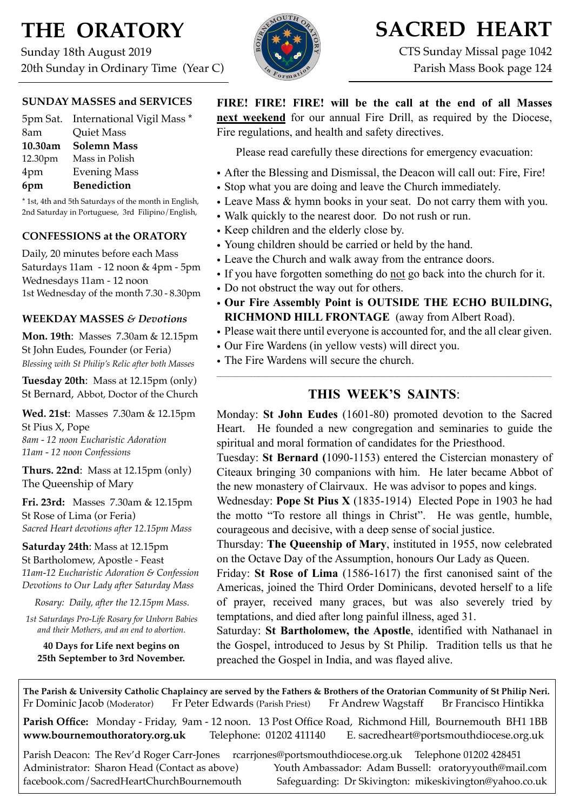# **THE ORATORY**

Sunday 18th August 2019 20th Sunday in Ordinary Time (Year C)



## **SACRED HEART**

CTS Sunday Missal page 1042 Parish Mass Book page 124

#### **SUNDAY MASSES and SERVICES**

|         | 5pm Sat. International Vigil Mass * |
|---------|-------------------------------------|
| 8am     | <b>Quiet Mass</b>                   |
| 10.30am | <b>Solemn Mass</b>                  |
| 12.30pm | Mass in Polish                      |
| 4pm     | <b>Evening Mass</b>                 |
| 6pm     | <b>Benediction</b>                  |

\* 1st, 4th and 5th Saturdays of the month in English, 2nd Saturday in Portuguese, 3rd Filipino/English,

#### **CONFESSIONS at the ORATORY**

Daily, 20 minutes before each Mass Saturdays 11am - 12 noon & 4pm - 5pm Wednesdays 11am - 12 noon 1st Wednesday of the month 7.30 - 8.30pm

#### **WEEKDAY MASSES** *& Devotions*

**Mon. 19th**: Masses 7.30am & 12.15pm St John Eudes, Founder (or Feria) *Blessing with St Philip's Relic after both Masses*

**Tuesday 20th**: Mass at 12.15pm (only) St Bernard, Abbot, Doctor of the Church

**Wed. 21st**: Masses7.30am & 12.15pm St Pius X, Pope *8am - 12 noon Eucharistic Adoration 11am - 12 noon Confessions*

**Thurs. 22nd**: Mass at 12.15pm (only) The Queenship of Mary

**Fri. 23rd:** Masses 7.30am & 12.15pm St Rose of Lima (or Feria) *Sacred Heart devotions after 12.15pm Mass*

**Saturday 24th**: Mass at 12.15pm St Bartholomew, Apostle - Feast *11am-12 Eucharistic Adoration & Confession Devotions to Our Lady after Saturday Mass*

*Rosary: Daily, after the 12.15pm Mass.*

*1st Saturdays Pro-Life Rosary for Unborn Babies and their Mothers, and an end to abortion.*

**40 Days for Life next begins on 25th September to 3rd November.** **FIRE! FIRE! FIRE! will be the call at the end of all Masses next weekend** for our annual Fire Drill, as required by the Diocese, Fire regulations, and health and safety directives.

Please read carefully these directions for emergency evacuation:

- After the Blessing and Dismissal, the Deacon will call out: Fire, Fire!
- Stop what you are doing and leave the Church immediately.
- Leave Mass & hymn books in your seat. Do not carry them with you.
- Walk quickly to the nearest door. Do not rush or run.
- Keep children and the elderly close by.
- Young children should be carried or held by the hand.
- Leave the Church and walk away from the entrance doors.
- If you have forgotten something do not go back into the church for it.
- Do not obstruct the way out for others.
- **Our Fire Assembly Point is OUTSIDE THE ECHO BUILDING, RICHMOND HILL FRONTAGE** (away from Albert Road).
- Please wait there until everyone is accounted for, and the all clear given.
- Our Fire Wardens (in yellow vests) will direct you.
- The Fire Wardens will secure the church.

### **THIS WEEK'S SAINTS**:

 $\mathcal{L}_\mathcal{L} = \{ \mathcal{L}_\mathcal{L} = \{ \mathcal{L}_\mathcal{L} = \{ \mathcal{L}_\mathcal{L} = \{ \mathcal{L}_\mathcal{L} = \{ \mathcal{L}_\mathcal{L} = \{ \mathcal{L}_\mathcal{L} = \{ \mathcal{L}_\mathcal{L} = \{ \mathcal{L}_\mathcal{L} = \{ \mathcal{L}_\mathcal{L} = \{ \mathcal{L}_\mathcal{L} = \{ \mathcal{L}_\mathcal{L} = \{ \mathcal{L}_\mathcal{L} = \{ \mathcal{L}_\mathcal{L} = \{ \mathcal{L}_\mathcal{$ 

Monday: **St John Eudes** (1601-80) promoted devotion to the Sacred Heart. He founded a new congregation and seminaries to guide the spiritual and moral formation of candidates for the Priesthood.

Tuesday: **St Bernard (**1090-1153) entered the Cistercian monastery of Citeaux bringing 30 companions with him. He later became Abbot of the new monastery of Clairvaux. He was advisor to popes and kings.

Wednesday: **Pope St Pius X** (1835-1914) Elected Pope in 1903 he had the motto "To restore all things in Christ". He was gentle, humble, courageous and decisive, with a deep sense of social justice.

Thursday: **The Queenship of Mary**, instituted in 1955, now celebrated on the Octave Day of the Assumption, honours Our Lady as Queen.

Friday: **St Rose of Lima** (1586-1617) the first canonised saint of the Americas, joined the Third Order Dominicans, devoted herself to a life of prayer, received many graces, but was also severely tried by temptations, and died after long painful illness, aged 31.

Saturday: **St Bartholomew, the Apostle**, identified with Nathanael in the Gospel, introduced to Jesus by St Philip. Tradition tells us that he preached the Gospel in India, and was flayed alive.

**The Parish & University Catholic Chaplaincy are served by the Fathers & Brothers of the Oratorian Community of St Philip Neri.** Fr Dominic Jacob (Moderator) Fr Peter Edwards (Parish Priest) Fr Andrew Wagstaff Br Francisco Hintikka

**Parish Office:** Monday - Friday, 9am - 12 noon. 13 Post Office Road, Richmond Hill, Bournemouth BH1 1BB **[www.bournemouthoratory.org.uk](http://www.bournemoithoratory.org.uk)** Telephone: 01202 411140 E. [sacredheart@portsmouthdiocese.org.uk](mailto:sacredheart@portsmouthdiocese.org.uk)

Parish Deacon: The Rev'd Roger Carr-Jones [rcarrjones@portsmouthdiocese.org.uk](mailto:rcarrjones@portsmouthdiocese.org.uk) Telephone 01202 428451 Administrator: Sharon Head (Contact as above) Youth Ambassador: Adam Bussell: [oratoryyouth@mail.com](http://oratoryyouth.mail.com) [facebook.com/SacredHeartChurchBournemouth](http://facebook.com/SaccredHeartChurchBournemouth) Safeguarding: Dr Skivington: mikeskivington@yahoo.co.uk